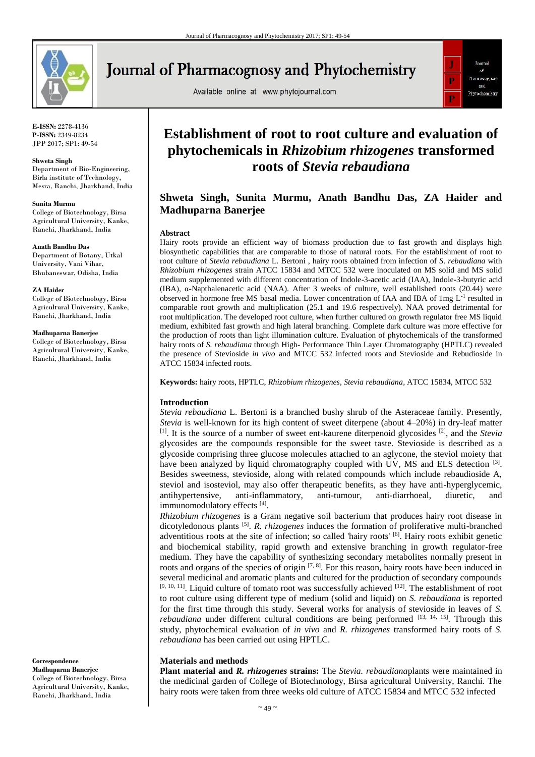

# Journal of Pharmacognosy and Phytochemistry

Available online at www.phytojournal.com



**E-ISSN:** 2278-4136 **P-ISSN:** 2349-8234 JPP 2017; SP1: 49-54

### **Shweta Singh**

Department of Bio-Engineering, Birla institute of Technology, Mesra, Ranchi, Jharkhand, India

### **Sunita Murmu**

College of Biotechnology, Birsa Agricultural University, Kanke, Ranchi, Jharkhand, India

#### **Anath Bandhu Das**

Department of Botany, Utkal University, Vani Vihar, Bhubaneswar, Odisha, India

### **ZA Haider**

College of Biotechnology, Birsa Agricultural University, Kanke, Ranchi, Jharkhand, India

### **Madhuparna Banerjee**

College of Biotechnology, Birsa Agricultural University, Kanke, Ranchi, Jharkhand, India

**Correspondence Madhuparna Banerjee** College of Biotechnology, Birsa Agricultural University, Kanke,

Ranchi, Jharkhand, India

## **Establishment of root to root culture and evaluation of phytochemicals in** *Rhizobium rhizogenes* **transformed roots of** *Stevia rebaudiana*

### **Shweta Singh, Sunita Murmu, Anath Bandhu Das, ZA Haider and Madhuparna Banerjee**

### **Abstract**

Hairy roots provide an efficient way of biomass production due to fast growth and displays high biosynthetic capabilities that are comparable to those of natural roots. For the establishment of root to root culture of *Stevia rebaudiana* L. Bertoni , hairy roots obtained from infection of *S. rebaudiana* with *Rhizobium rhizogenes* strain ATCC 15834 and MTCC 532 were inoculated on MS solid and MS solid medium supplemented with different concentration of Indole-3-acetic acid (IAA), Indole-3-butyric acid (IBA), α-Napthalenacetic acid (NAA). After 3 weeks of culture, well established roots (20.44) were observed in hormone free MS basal media. Lower concentration of IAA and IBA of  $1 \text{mg } L^{-1}$  resulted in comparable root growth and multiplication (25.1 and 19.6 respectively). NAA proved detrimental for root multiplication. The developed root culture, when further cultured on growth regulator free MS liquid medium, exhibited fast growth and high lateral branching. Complete dark culture was more effective for the production of roots than light illumination culture. Evaluation of phytochemicals of the transformed hairy roots of *S. rebaudiana* through High- Performance Thin Layer Chromatography (HPTLC) revealed the presence of Stevioside *in vivo* and MTCC 532 infected roots and Stevioside and Rebudioside in ATCC 15834 infected roots.

**Keywords:** hairy roots, HPTLC, *Rhizobium rhizogenes*, *Stevia rebaudiana*, ATCC 15834, MTCC 532

### **Introduction**

*Stevia rebaudiana* L. Bertoni is a branched bushy shrub of the Asteraceae family. Presently, *Stevia* is well-known for its high content of sweet diterpene (about 4–20%) in dry-leaf matter [1]. It is the source of a number of sweet ent-kaurene diterpenoid glycosides [2], and the *Stevia* glycosides are the compounds responsible for the sweet taste. Stevioside is described as a glycoside comprising three glucose molecules attached to an aglycone, the steviol moiety that have been analyzed by liquid chromatography coupled with UV, MS and ELS detection  $^{[3]}$ . Besides sweetness, stevioside, along with related compounds which include rebaudioside A, steviol and isosteviol, may also offer therapeutic benefits, as they have anti-hyperglycemic, antihypertensive, anti-inflammatory, anti-tumour, anti-diarrhoeal, diuretic, and immunomodulatory effects [4].

*Rhizobium rhizogenes* is a Gram negative soil bacterium that produces hairy root disease in dicotyledonous plants [5] . *R. rhizogenes* induces the formation of proliferative multi-branched adventitious roots at the site of infection; so called 'hairy roots' [6]. Hairy roots exhibit genetic and biochemical stability, rapid growth and extensive branching in growth regulator-free medium. They have the capability of synthesizing secondary metabolites normally present in roots and organs of the species of origin  $[7, 8]$ . For this reason, hairy roots have been induced in several medicinal and aromatic plants and cultured for the production of secondary compounds  $[9, 10, 11]$ . Liquid culture of tomato root was successfully achieved  $[12]$ . The establishment of root to root culture using different type of medium (solid and liquid) on *S. rebaudiana* is reported for the first time through this study. Several works for analysis of stevioside in leaves of *S. rebaudiana* under different cultural conditions are being performed [13, 14, 15]. Through this study, phytochemical evaluation of *in vivo* and *R. rhizogenes* transformed hairy roots of *S. rebaudiana* has been carried out using HPTLC.

### **Materials and methods**

**Plant material and** *R. rhizogenes* **strains:** The *Stevia. rebaudiana*plants were maintained in the medicinal garden of College of Biotechnology, Birsa agricultural University, Ranchi. The hairy roots were taken from three weeks old culture of ATCC 15834 and MTCC 532 infected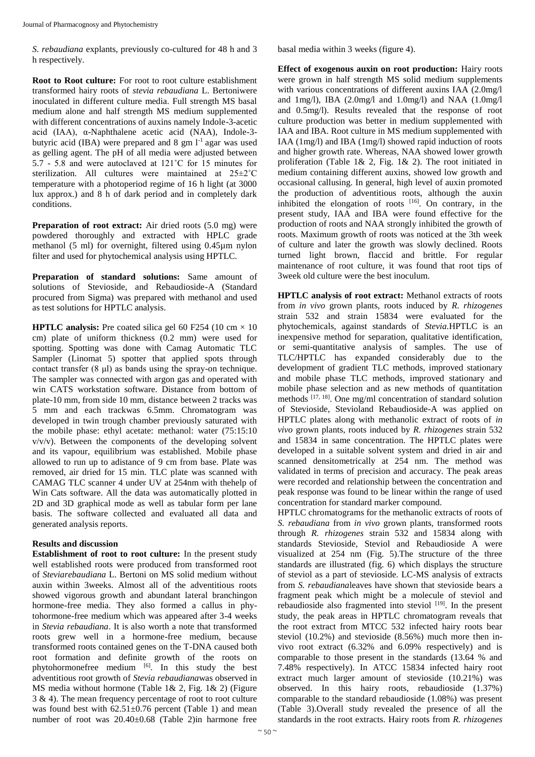*S. rebaudiana* explants, previously co-cultured for 48 h and 3 h respectively.

**Root to Root culture:** For root to root culture establishment transformed hairy roots of *stevia rebaudiana* L. Bertoniwere inoculated in different culture media. Full strength MS basal medium alone and half strength MS medium supplemented with different concentrations of auxins namely Indole-3-acetic acid (IAA), α-Naphthalene acetic acid (NAA), Indole-3 butyric acid (IBA) were prepared and 8 gm l<sup>-1</sup> agar was used as gelling agent. The pH of all media were adjusted between 5.7 - 5.8 and were autoclaved at 121˚C for 15 minutes for sterilization. All cultures were maintained at 25±2˚C temperature with a photoperiod regime of 16 h light (at 3000 lux approx.) and 8 h of dark period and in completely dark conditions.

**Preparation of root extract:** Air dried roots (5.0 mg) were powdered thoroughly and extracted with HPLC grade methanol (5 ml) for overnight, filtered using 0.45µm nylon filter and used for phytochemical analysis using HPTLC.

**Preparation of standard solutions:** Same amount of solutions of Stevioside, and Rebaudioside-A (Standard procured from Sigma) was prepared with methanol and used as test solutions for HPTLC analysis.

**HPTLC analysis:** Pre coated silica gel 60 F254 (10 cm  $\times$  10 cm) plate of uniform thickness (0.2 mm) were used for spotting. Spotting was done with Camag Automatic TLC Sampler (Linomat 5) spotter that applied spots through contact transfer (8 μl) as bands using the spray-on technique. The sampler was connected with argon gas and operated with win CATS workstation software. Distance from bottom of plate-10 mm, from side 10 mm, distance between 2 tracks was 5 mm and each trackwas 6.5mm. Chromatogram was developed in twin trough chamber previously saturated with the mobile phase: ethyl acetate: methanol: water (75:15:10  $v/v/v$ ). Between the components of the developing solvent and its vapour, equilibrium was established. Mobile phase allowed to run up to adistance of 9 cm from base. Plate was removed, air dried for 15 min. TLC plate was scanned with CAMAG TLC scanner 4 under UV at 254nm with thehelp of Win Cats software. All the data was automatically plotted in 2D and 3D graphical mode as well as tabular form per lane basis. The software collected and evaluated all data and generated analysis reports.

### **Results and discussion**

**Establishment of root to root culture:** In the present study well established roots were produced from transformed root of *Steviarebaudiana* L. Bertoni on MS solid medium without auxin within 3weeks. Almost all of the adventitious roots showed vigorous growth and abundant lateral branchingon hormone-free media. They also formed a callus in phytohormone-free medium which was appeared after 3-4 weeks in *Stevia rebaudiana*. It is also worth a note that transformed roots grew well in a hormone-free medium, because transformed roots contained genes on the T-DNA caused both root formation and definite growth of the roots on phytohormonefree medium [6]. In this study the best adventitious root growth of *Stevia rebaudiana*was observed in MS media without hormone (Table 1& 2, Fig. 1& 2) (Figure 3 & 4). The mean frequency percentage of root to root culture was found best with  $62.51 \pm 0.76$  percent (Table 1) and mean number of root was 20.40±0.68 (Table 2)in harmone free

basal media within 3 weeks (figure 4).

**Effect of exogenous auxin on root production:** Hairy roots were grown in half strength MS solid medium supplements with various concentrations of different auxins IAA (2.0mg/l and 1mg/l), IBA (2.0mg/l and 1.0mg/l) and NAA (1.0mg/l and 0.5mg/l). Results revealed that the response of root culture production was better in medium supplemented with IAA and IBA. Root culture in MS medium supplemented with IAA (1mg/l) and IBA (1mg/l) showed rapid induction of roots and higher growth rate. Whereas, NAA showed lower growth proliferation (Table 1& 2, Fig. 1& 2). The root initiated in medium containing different auxins, showed low growth and occasional callusing. In general, high level of auxin promoted the production of adventitious roots, although the auxin inhibited the elongation of roots  $[16]$ . On contrary, in the present study, IAA and IBA were found effective for the production of roots and NAA strongly inhibited the growth of roots. Maximum growth of roots was noticed at the 3th week of culture and later the growth was slowly declined. Roots turned light brown, flaccid and brittle. For regular maintenance of root culture, it was found that root tips of 3week old culture were the best inoculum.

**HPTLC analysis of root extract:** Methanol extracts of roots from *in vivo* grown plants, roots induced by *R. rhizogenes* strain 532 and strain 15834 were evaluated for the phytochemicals, against standards of *Stevia.*HPTLC is an inexpensive method for separation, qualitative identification, or semi-quantitative analysis of samples. The use of TLC/HPTLC has expanded considerably due to the development of gradient TLC methods, improved stationary and mobile phase TLC methods, improved stationary and mobile phase selection and as new methods of quantitation methods <sup>[17, 18]</sup>. One mg/ml concentration of standard solution of Stevioside, Stevioland Rebaudioside-A was applied on HPTLC plates along with methanolic extract of roots of *in vivo* grown plants, roots induced by *R. rhizogenes* strain 532 and 15834 in same concentration. The HPTLC plates were developed in a suitable solvent system and dried in air and scanned densitometrically at 254 nm. The method was validated in terms of precision and accuracy. The peak areas were recorded and relationship between the concentration and peak response was found to be linear within the range of used concentration for standard marker compound.

HPTLC chromatograms for the methanolic extracts of roots of *S. rebaudiana* from *in vivo* grown plants, transformed roots through *R. rhizogenes* strain 532 and 15834 along with standards Stevioside, Steviol and Rebaudioside A were visualized at 254 nm (Fig. 5).The structure of the three standards are illustrated (fig. 6) which displays the structure of steviol as a part of stevioside. LC-MS analysis of extracts from *S. rebaudiana*leaves have shown that stevioside bears a fragment peak which might be a molecule of steviol and rebaudioside also fragmented into steviol [19]. In the present study, the peak areas in HPTLC chromatogram reveals that the root extract from MTCC 532 infected hairy roots bear steviol (10.2%) and stevioside (8.56%) much more then invivo root extract (6.32% and 6.09% respectively) and is comparable to those present in the standards (13.64 % and 7.48% respectively). In ATCC 15834 infected hairy root extract much larger amount of stevioside (10.21%) was observed. In this hairy roots, rebaudioside (1.37%) comparable to the standard rebaudioside (1.08%) was present (Table 3).Overall study revealed the presence of all the standards in the root extracts. Hairy roots from *R. rhizogenes*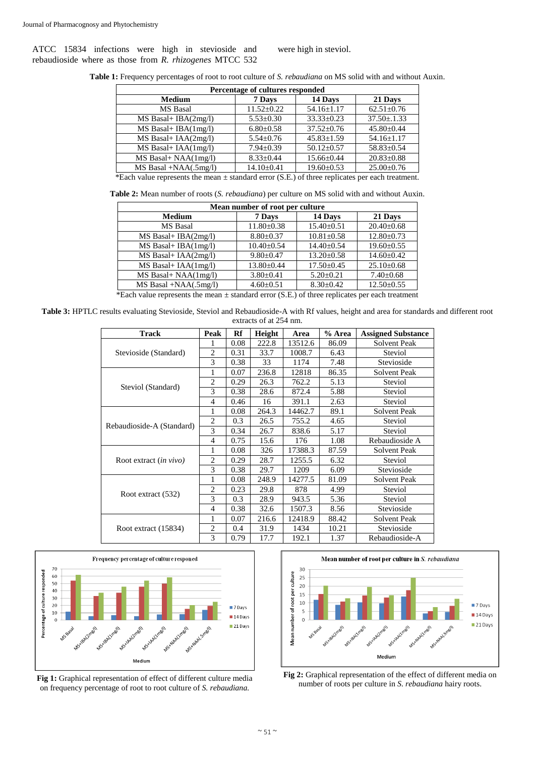ATCC 15834 infections were high in stevioside and rebaudioside where as those from *R. rhizogenes* MTCC 532 were high in steviol.

**Table 1:** Frequency percentages of root to root culture of *S. rebaudiana* on MS solid with and without Auxin.

| Percentage of cultures responded                                                                    |                  |                  |                  |  |  |  |  |
|-----------------------------------------------------------------------------------------------------|------------------|------------------|------------------|--|--|--|--|
| <b>Medium</b>                                                                                       | 7 Days           | 14 Days          | 21 Days          |  |  |  |  |
| MS Basal                                                                                            | $11.52 \pm 0.22$ | $54.16 \pm 1.17$ | $62.51 \pm 0.76$ |  |  |  |  |
| $MS$ Basal+ IBA $(2mg/l)$                                                                           | $5.53 \pm 0.30$  | $33.33 \pm 0.23$ | $37.50 \pm 0.33$ |  |  |  |  |
| $MS$ Basal+ IBA $(1mg/l)$                                                                           | $6.80 \pm 0.58$  | $37.52 \pm 0.76$ | $45.80 \pm 0.44$ |  |  |  |  |
| $MS$ Basal+ $IAA(2mg/l)$                                                                            | $5.54 \pm 0.76$  | $45.83 \pm 1.59$ | $54.16 \pm 1.17$ |  |  |  |  |
| $MS$ Basal+ $IAA(1mg/l)$                                                                            | $7.94 \pm 0.39$  | $50.12 \pm 0.57$ | $58.83 \pm 0.54$ |  |  |  |  |
| $MS$ Basal+ NAA $(1mg/l)$                                                                           | $8.33 \pm 0.44$  | $15.66 \pm 0.44$ | $20.83 \pm 0.88$ |  |  |  |  |
| $MS$ Basal +NAA $(.5$ mg/l)                                                                         | $14.10 \pm 0.41$ | $19.60 \pm 0.53$ | $25.00 \pm 0.76$ |  |  |  |  |
| *Each value represents the mean $\pm$ standard error (S.E.) of three replicates per each treatment. |                  |                  |                  |  |  |  |  |

**Table 2:** Mean number of roots (*S. rebaudiana*) per culture on MS solid with and without Auxin.

| Mean number of root per culture    |                  |                  |                  |  |  |  |  |
|------------------------------------|------------------|------------------|------------------|--|--|--|--|
| <b>Medium</b>                      | 7 Days           | 14 Days          | 21 Days          |  |  |  |  |
| <b>MS</b> Basal                    | $11.80 \pm 0.38$ | $15.40 \pm 0.51$ | $20.40 \pm 0.68$ |  |  |  |  |
| MS Basal+ IBA(2mg/l)               | $8.80 \pm 0.37$  | $10.81 \pm 0.58$ | $12.80 \pm 0.73$ |  |  |  |  |
| $MS$ Basal+ IBA $(1mg/l)$          | $10.40 \pm 0.54$ | $14.40 \pm 0.54$ | $19.60 \pm 0.55$ |  |  |  |  |
| MS Basal+ IAA(2mg/l)               | $9.80 \pm 0.47$  | $13.20 \pm 0.58$ | $14.60 \pm 0.42$ |  |  |  |  |
| MS Basal+ IAA(1mg/l)               | $13.80 \pm 0.44$ | $17.50 \pm 0.45$ | $25.10 \pm 0.68$ |  |  |  |  |
| MS Basal+ NAA(1mg/l)               | $3.80 \pm 0.41$  | $5.20 \pm 0.21$  | $7.40 \pm 0.68$  |  |  |  |  |
| $MS$ Basal +NAA $(.5$ mg $/$ l $)$ | $4.60 \pm 0.51$  | $8.30 \pm 0.42$  | $12.50 \pm 0.55$ |  |  |  |  |

\*Each value represents the mean  $\pm$  standard error (S.E.) of three replicates per each treatment

**Table 3:** HPTLC results evaluating Stevioside, Steviol and Rebaudioside-A with Rf values, height and area for standards and different root extracts of at 254 nm.

| <b>Track</b>                  | Peak           | Rf   | Height | Area    | % Area | <b>Assigned Substance</b> |
|-------------------------------|----------------|------|--------|---------|--------|---------------------------|
| Stevioside (Standard)         | 1              | 0.08 | 222.8  | 13512.6 | 86.09  | <b>Solvent Peak</b>       |
|                               | $\overline{c}$ | 0.31 | 33.7   | 1008.7  | 6.43   | Steviol                   |
|                               | 3              | 0.38 | 33     | 1174    | 7.48   | Stevioside                |
| Steviol (Standard)            | 1              | 0.07 | 236.8  | 12818   | 86.35  | <b>Solvent Peak</b>       |
|                               | $\overline{c}$ | 0.29 | 26.3   | 762.2   | 5.13   | Steviol                   |
|                               | 3              | 0.38 | 28.6   | 872.4   | 5.88   | Steviol                   |
|                               | $\overline{4}$ | 0.46 | 16     | 391.1   | 2.63   | Steviol                   |
| Rebaudioside-A (Standard)     | 1              | 0.08 | 264.3  | 14462.7 | 89.1   | <b>Solvent Peak</b>       |
|                               | $\overline{2}$ | 0.3  | 26.5   | 755.2   | 4.65   | Steviol                   |
|                               | 3              | 0.34 | 26.7   | 838.6   | 5.17   | Steviol                   |
|                               | $\overline{4}$ | 0.75 | 15.6   | 176     | 1.08   | Rebaudioside A            |
| Root extract <i>(in vivo)</i> | 1              | 0.08 | 326    | 17388.3 | 87.59  | <b>Solvent Peak</b>       |
|                               | $\overline{2}$ | 0.29 | 28.7   | 1255.5  | 6.32   | Steviol                   |
|                               | 3              | 0.38 | 29.7   | 1209    | 6.09   | Stevioside                |
| Root extract (532)            | 1              | 0.08 | 248.9  | 14277.5 | 81.09  | <b>Solvent Peak</b>       |
|                               | $\overline{2}$ | 0.23 | 29.8   | 878     | 4.99   | Steviol                   |
|                               | 3              | 0.3  | 28.9   | 943.5   | 5.36   | Steviol                   |
|                               | $\overline{4}$ | 0.38 | 32.6   | 1507.3  | 8.56   | Stevioside                |
| Root extract (15834)          | 1              | 0.07 | 216.6  | 12418.9 | 88.42  | <b>Solvent Peak</b>       |
|                               | $\overline{2}$ | 0.4  | 31.9   | 1434    | 10.21  | Stevioside                |
|                               | 3              | 0.79 | 17.7   | 192.1   | 1.37   | Rebaudioside-A            |



**Fig 1:** Graphical representation of effect of different culture media on frequency percentage of root to root culture of *S. rebaudiana.*



**Fig 2:** Graphical representation of the effect of different media on number of roots per culture in *S. rebaudiana* hairy roots.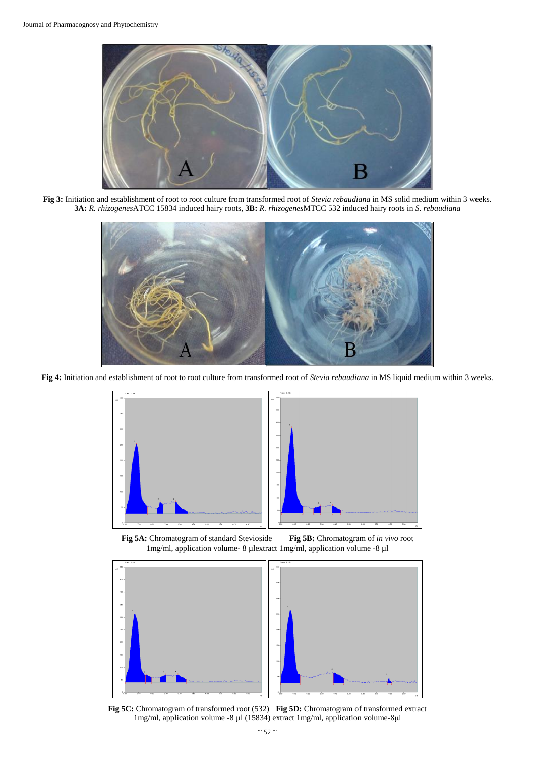

**Fig 3:** Initiation and establishment of root to root culture from transformed root of *Stevia rebaudiana* in MS solid medium within 3 weeks. **3A:** *R. rhizogenes*ATCC 15834 induced hairy roots, **3B:** *R. rhizogenes*MTCC 532 induced hairy roots in *S. rebaudiana*



**Fig 4:** Initiation and establishment of root to root culture from transformed root of *Stevia rebaudiana* in MS liquid medium within 3 weeks.



**Fig 5A:** Chromatogram of standard Stevioside **Fig 5B:** Chromatogram of *in vivo* root 1mg/ml, application volume- 8 µlextract 1mg/ml, application volume -8 µl



**Fig 5C:** Chromatogram of transformed root (532) **Fig 5D:** Chromatogram of transformed extract 1mg/ml, application volume -8 µl (15834) extract 1mg/ml, application volume-8μl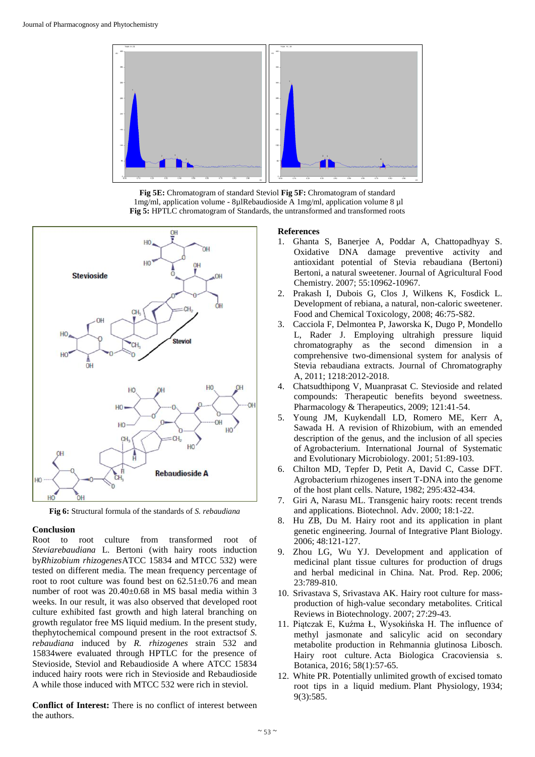

**Fig 5E:** Chromatogram of standard Steviol **Fig 5F:** Chromatogram of standard 1mg/ml, application volume - 8µlRebaudioside A 1mg/ml, application volume 8 µl **Fig 5:** HPTLC chromatogram of Standards, the untransformed and transformed roots



**Fig 6:** Structural formula of the standards of *S. rebaudiana*

### **Conclusion**

Root to root culture from transformed root of *Steviarebaudiana* L. Bertoni (with hairy roots induction by*Rhizobium rhizogenes*ATCC 15834 and MTCC 532) were tested on different media. The mean frequency percentage of root to root culture was found best on  $62.51\pm0.76$  and mean number of root was 20.40±0.68 in MS basal media within 3 weeks. In our result, it was also observed that developed root culture exhibited fast growth and high lateral branching on growth regulator free MS liquid medium. In the present study, thephytochemical compound present in the root extractsof *S. rebaudiana* induced by *R. rhizogenes* strain 532 and 15834were evaluated through HPTLC for the presence of Stevioside, Steviol and Rebaudioside A where ATCC 15834 induced hairy roots were rich in Stevioside and Rebaudioside A while those induced with MTCC 532 were rich in steviol.

**Conflict of Interest:** There is no conflict of interest between the authors.

### **References**

- 1. Ghanta S, Banerjee A, Poddar A, Chattopadhyay S. Oxidative DNA damage preventive activity and antioxidant potential of Stevia rebaudiana (Bertoni) Bertoni, a natural sweetener. Journal of Agricultural Food Chemistry. 2007; 55:10962-10967.
- 2. Prakash I, Dubois G, Clos J, Wilkens K, Fosdick L. Development of rebiana, a natural, non-caloric sweetener. Food and Chemical Toxicology, 2008; 46:75-S82.
- 3. Cacciola F, Delmontea P, Jaworska K, Dugo P, Mondello L, Rader J. Employing ultrahigh pressure liquid chromatography as the second dimension in a comprehensive two-dimensional system for analysis of Stevia rebaudiana extracts. Journal of Chromatography A, 2011; 1218:2012-2018.
- 4. Chatsudthipong V, Muanprasat C. Stevioside and related compounds: Therapeutic benefits beyond sweetness. Pharmacology & Therapeutics, 2009; 121:41-54.
- 5. Young JM, Kuykendall LD, Romero ME, Kerr A, Sawada H. A revision of Rhizobium, with an emended description of the genus, and the inclusion of all species of Agrobacterium. International Journal of Systematic and Evolutionary Microbiology. 2001; 51:89-103.
- 6. Chilton MD, Tepfer D, Petit A, David C, Casse DFT. Agrobacterium rhizogenes insert T-DNA into the genome of the host plant cells. Nature, 1982; 295:432-434.
- 7. Giri A, Narasu ML. Transgenic hairy roots: recent trends and applications. Biotechnol. Adv. 2000; 18:1-22.
- 8. Hu ZB, Du M. Hairy root and its application in plant genetic engineering. Journal of Integrative Plant Biology. 2006; 48:121-127.
- 9. Zhou LG, Wu YJ. Development and application of medicinal plant tissue cultures for production of drugs and herbal medicinal in China. Nat. Prod. Rep. 2006; 23:789-810.
- 10. Srivastava S, Srivastava AK. Hairy root culture for massproduction of high-value secondary metabolites. Critical Reviews in Biotechnology. 2007; 27:29-43.
- 11. Piątczak E, Kuźma Ł, Wysokińska H. The influence of methyl jasmonate and salicylic acid on secondary metabolite production in Rehmannia glutinosa Libosch. Hairy root culture. Acta Biologica Cracoviensia s. Botanica, 2016; 58(1):57-65.
- 12. White PR. Potentially unlimited growth of excised tomato root tips in a liquid medium. Plant Physiology, 1934; 9(3):585.